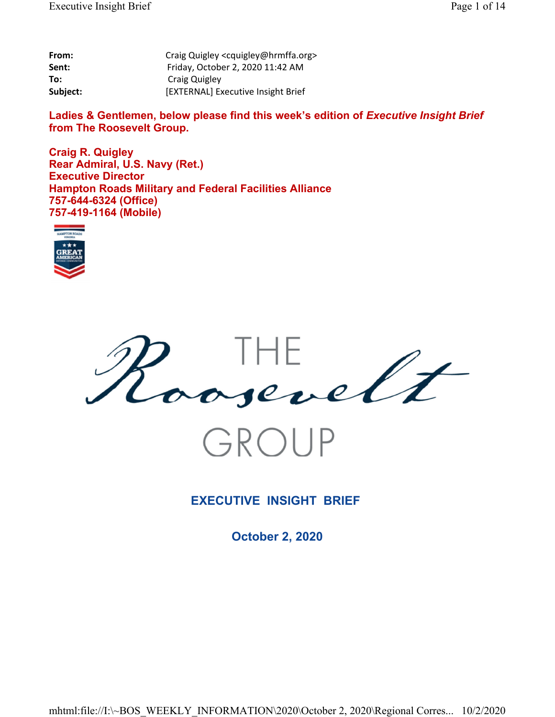| From:    | Craig Quigley <cquigley@hrmffa.org></cquigley@hrmffa.org> |
|----------|-----------------------------------------------------------|
| Sent:    | Friday, October 2, 2020 11:42 AM                          |
| To:      | Craig Quigley                                             |
| Subject: | [EXTERNAL] Executive Insight Brief                        |

Ladies & Gentlemen, below please find this week's edition of *Executive Insight Brief* **from The Roosevelt Group.**

**Craig R. Quigley Rear Admiral, U.S. Navy (Ret.) Executive Director Hampton Roads Military and Federal Facilities Alliance 757-644-6324 (Office) 757-419-1164 (Mobile)**





## **EXECUTIVE INSIGHT BRIEF**

**October 2, 2020**

mhtml:file://I:\~BOS\_WEEKLY\_INFORMATION\2020\October 2, 2020\Regional Corres... 10/2/2020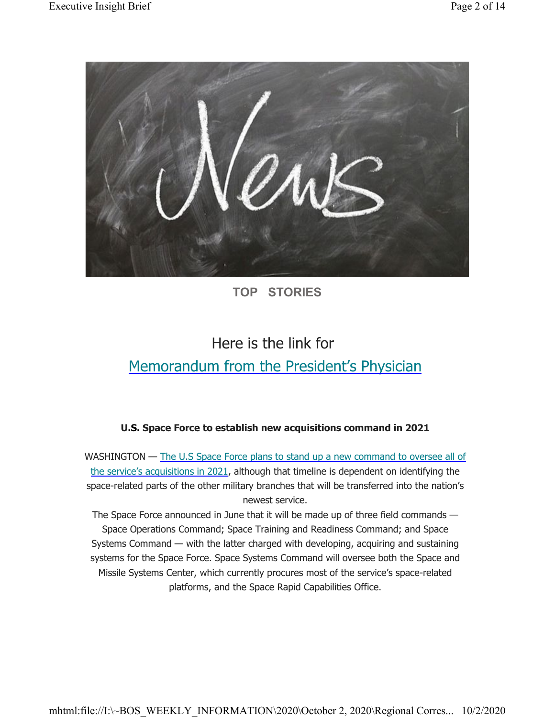

# **TOP STORIES**

# Here is the link for Memorandum from the President's Physician

### **U.S. Space Force to establish new acquisitions command in 2021**

WASHINGTON — The U.S Space Force plans to stand up a new command to oversee all of the service's acquisitions in 2021, although that timeline is dependent on identifying the space-related parts of the other military branches that will be transferred into the nation's newest service.

The Space Force announced in June that it will be made up of three field commands — Space Operations Command; Space Training and Readiness Command; and Space Systems Command — with the latter charged with developing, acquiring and sustaining systems for the Space Force. Space Systems Command will oversee both the Space and Missile Systems Center, which currently procures most of the service's space-related platforms, and the Space Rapid Capabilities Office.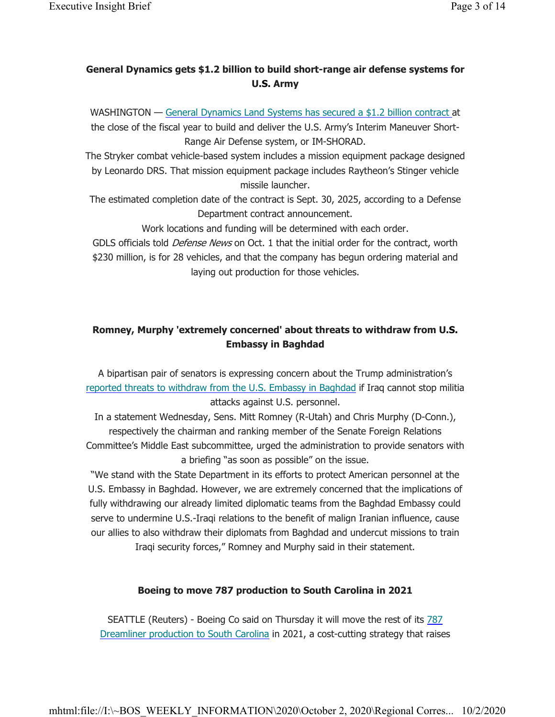### **General Dynamics gets \$1.2 billion to build short-range air defense systems for U.S. Army**

WASHINGTON — General Dynamics Land Systems has secured a \$1.2 billion contract at the close of the fiscal year to build and deliver the U.S. Army's Interim Maneuver Short-Range Air Defense system, or IM-SHORAD.

The Stryker combat vehicle-based system includes a mission equipment package designed by Leonardo DRS. That mission equipment package includes Raytheon's Stinger vehicle missile launcher.

The estimated completion date of the contract is Sept. 30, 2025, according to a Defense Department contract announcement.

Work locations and funding will be determined with each order.

GDLS officials told *Defense News* on Oct. 1 that the initial order for the contract, worth \$230 million, is for 28 vehicles, and that the company has begun ordering material and laying out production for those vehicles.

### **Romney, Murphy 'extremely concerned' about threats to withdraw from U.S. Embassy in Baghdad**

A bipartisan pair of senators is expressing concern about the Trump administration's reported threats to withdraw from the U.S. Embassy in Baghdad if Iraq cannot stop militia attacks against U.S. personnel.

In a statement Wednesday, Sens. Mitt Romney (R-Utah) and Chris Murphy (D-Conn.), respectively the chairman and ranking member of the Senate Foreign Relations Committee's Middle East subcommittee, urged the administration to provide senators with a briefing "as soon as possible" on the issue.

"We stand with the State Department in its efforts to protect American personnel at the U.S. Embassy in Baghdad. However, we are extremely concerned that the implications of fully withdrawing our already limited diplomatic teams from the Baghdad Embassy could serve to undermine U.S.-Iraqi relations to the benefit of malign Iranian influence, cause our allies to also withdraw their diplomats from Baghdad and undercut missions to train Iraqi security forces," Romney and Murphy said in their statement.

### **Boeing to move 787 production to South Carolina in 2021**

SEATTLE (Reuters) - Boeing Co said on Thursday it will move the rest of its 787 Dreamliner production to South Carolina in 2021, a cost-cutting strategy that raises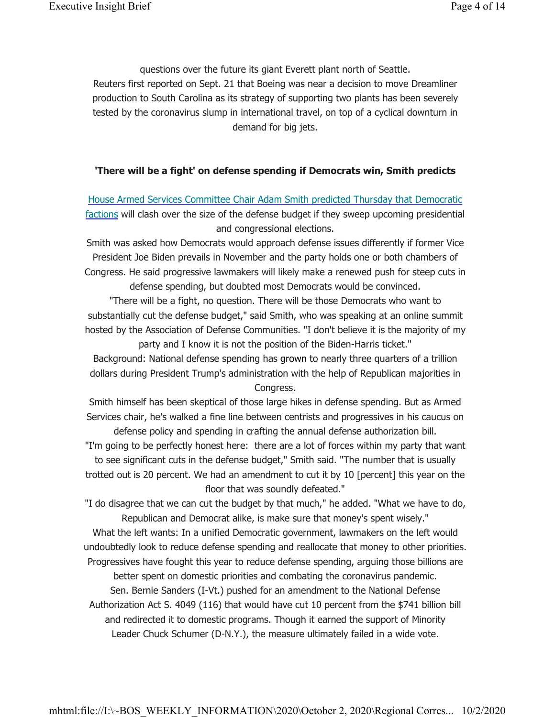questions over the future its giant Everett plant north of Seattle. Reuters first reported on Sept. 21 that Boeing was near a decision to move Dreamliner production to South Carolina as its strategy of supporting two plants has been severely tested by the coronavirus slump in international travel, on top of a cyclical downturn in demand for big jets.

#### **'There will be a fight' on defense spending if Democrats win, Smith predicts**

### House Armed Services Committee Chair Adam Smith predicted Thursday that Democratic factions will clash over the size of the defense budget if they sweep upcoming presidential and congressional elections.

Smith was asked how Democrats would approach defense issues differently if former Vice President Joe Biden prevails in November and the party holds one or both chambers of Congress. He said progressive lawmakers will likely make a renewed push for steep cuts in defense spending, but doubted most Democrats would be convinced.

"There will be a fight, no question. There will be those Democrats who want to substantially cut the defense budget," said Smith, who was speaking at an online summit hosted by the Association of Defense Communities. "I don't believe it is the majority of my party and I know it is not the position of the Biden-Harris ticket."

Background: National defense spending has grown to nearly three quarters of a trillion dollars during President Trump's administration with the help of Republican majorities in Congress.

Smith himself has been skeptical of those large hikes in defense spending. But as Armed Services chair, he's walked a fine line between centrists and progressives in his caucus on defense policy and spending in crafting the annual defense authorization bill.

"I'm going to be perfectly honest here: there are a lot of forces within my party that want to see significant cuts in the defense budget," Smith said. "The number that is usually trotted out is 20 percent. We had an amendment to cut it by 10 [percent] this year on the floor that was soundly defeated."

"I do disagree that we can cut the budget by that much," he added. "What we have to do, Republican and Democrat alike, is make sure that money's spent wisely."

What the left wants: In a unified Democratic government, lawmakers on the left would undoubtedly look to reduce defense spending and reallocate that money to other priorities. Progressives have fought this year to reduce defense spending, arguing those billions are

better spent on domestic priorities and combating the coronavirus pandemic. Sen. Bernie Sanders (I-Vt.) pushed for an amendment to the National Defense

Authorization Act S. 4049 (116) that would have cut 10 percent from the \$741 billion bill and redirected it to domestic programs. Though it earned the support of Minority Leader Chuck Schumer (D-N.Y.), the measure ultimately failed in a wide vote.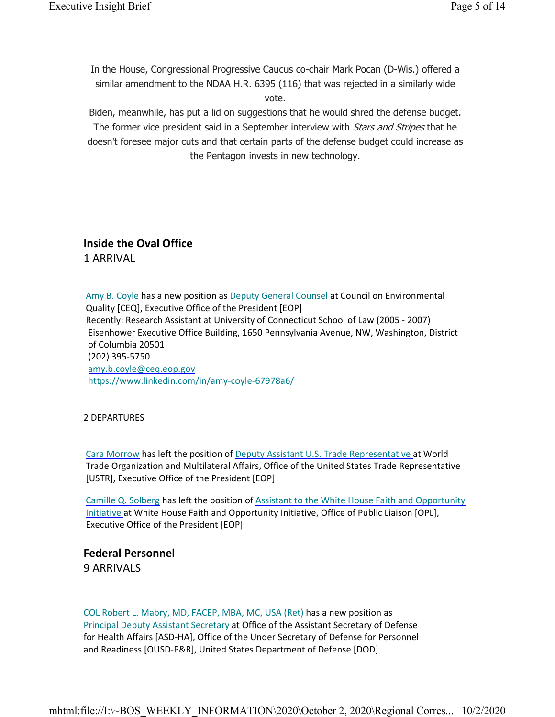In the House, Congressional Progressive Caucus co-chair Mark Pocan (D-Wis.) offered a similar amendment to the NDAA H.R. 6395 (116) that was rejected in a similarly wide vote.

Biden, meanwhile, has put a lid on suggestions that he would shred the defense budget. The former vice president said in a September interview with *Stars and Stripes* that he doesn't foresee major cuts and that certain parts of the defense budget could increase as the Pentagon invests in new technology.

### **Inside the Oval Office** 1 ARRIVAL

Amy B. Coyle has a new position as Deputy General Counsel at Council on Environmental Quality [CEQ], Executive Office of the President [EOP] Recently: Research Assistant at University of Connecticut School of Law (2005 - 2007) Eisenhower Executive Office Building, 1650 Pennsylvania Avenue, NW, Washington, District of Columbia 20501 (202) 395-5750 amy.b.coyle@ceq.eop.gov https://www.linkedin.com/in/amy-coyle-67978a6/

#### 2 DEPARTURES

Cara Morrow has left the position of Deputy Assistant U.S. Trade Representative at World Trade Organization and Multilateral Affairs, Office of the United States Trade Representative [USTR], Executive Office of the President [EOP]

Camille Q. Solberg has left the position of Assistant to the White House Faith and Opportunity Initiative at White House Faith and Opportunity Initiative, Office of Public Liaison [OPL], Executive Office of the President [EOP]

**Federal Personnel** 9 ARRIVALS

COL Robert L. Mabry, MD, FACEP, MBA, MC, USA (Ret) has a new position as Principal Deputy Assistant Secretary at Office of the Assistant Secretary of Defense for Health Affairs [ASD-HA], Office of the Under Secretary of Defense for Personnel and Readiness [OUSD-P&R], United States Department of Defense [DOD]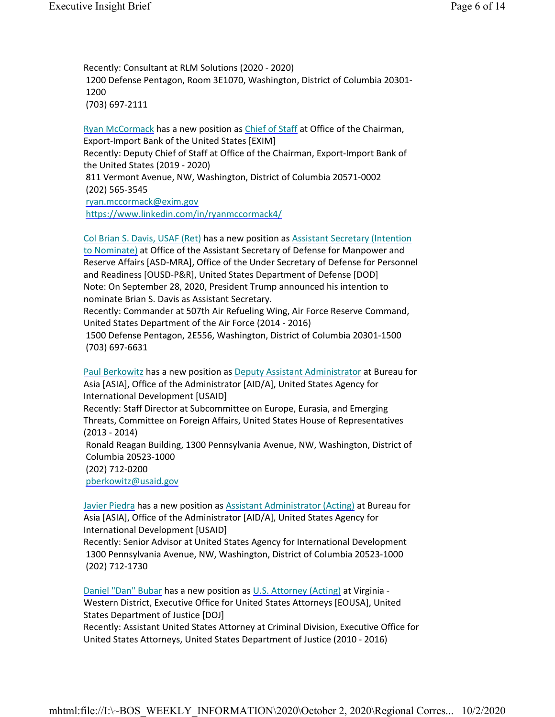Recently: Consultant at RLM Solutions (2020 - 2020) 1200 Defense Pentagon, Room 3E1070, Washington, District of Columbia 20301- 1200 (703) 697-2111

Ryan McCormack has a new position as Chief of Staff at Office of the Chairman, Export-Import Bank of the United States [EXIM] Recently: Deputy Chief of Staff at Office of the Chairman, Export-Import Bank of the United States (2019 - 2020) 811 Vermont Avenue, NW, Washington, District of Columbia 20571-0002 (202) 565-3545 ryan.mccormack@exim.gov

https://www.linkedin.com/in/ryanmccormack4/

Col Brian S. Davis, USAF (Ret) has a new position as Assistant Secretary (Intention to Nominate) at Office of the Assistant Secretary of Defense for Manpower and Reserve Affairs [ASD-MRA], Office of the Under Secretary of Defense for Personnel and Readiness [OUSD-P&R], United States Department of Defense [DOD] Note: On September 28, 2020, President Trump announced his intention to nominate Brian S. Davis as Assistant Secretary.

Recently: Commander at 507th Air Refueling Wing, Air Force Reserve Command, United States Department of the Air Force (2014 - 2016)

1500 Defense Pentagon, 2E556, Washington, District of Columbia 20301-1500 (703) 697-6631

Paul Berkowitz has a new position as Deputy Assistant Administrator at Bureau for Asia [ASIA], Office of the Administrator [AID/A], United States Agency for International Development [USAID] Recently: Staff Director at Subcommittee on Europe, Eurasia, and Emerging Threats, Committee on Foreign Affairs, United States House of Representatives (2013 - 2014) Ronald Reagan Building, 1300 Pennsylvania Avenue, NW, Washington, District of Columbia 20523-1000 (202) 712-0200 pberkowitz@usaid.gov

Javier Piedra has a new position as Assistant Administrator (Acting) at Bureau for Asia [ASIA], Office of the Administrator [AID/A], United States Agency for International Development [USAID]

Recently: Senior Advisor at United States Agency for International Development 1300 Pennsylvania Avenue, NW, Washington, District of Columbia 20523-1000 (202) 712-1730

Daniel "Dan" Bubar has a new position as U.S. Attorney (Acting) at Virginia - Western District, Executive Office for United States Attorneys [EOUSA], United States Department of Justice [DOJ]

Recently: Assistant United States Attorney at Criminal Division, Executive Office for United States Attorneys, United States Department of Justice (2010 - 2016)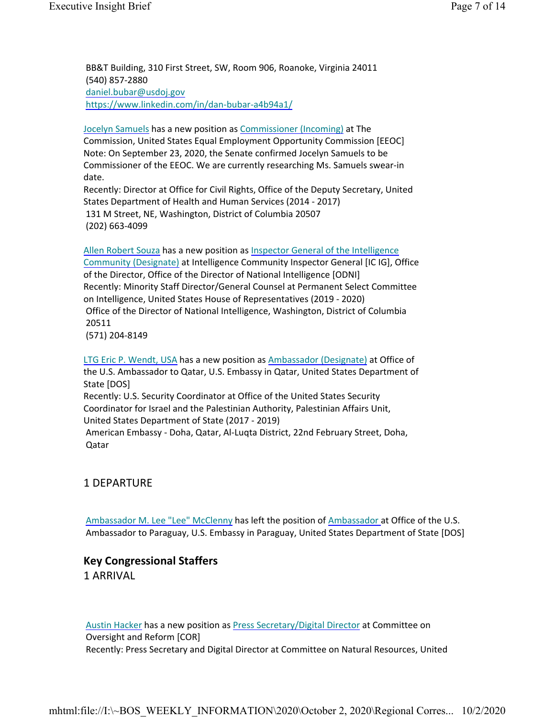BB&T Building, 310 First Street, SW, Room 906, Roanoke, Virginia 24011 (540) 857-2880 daniel.bubar@usdoj.gov https://www.linkedin.com/in/dan-bubar-a4b94a1/

Jocelyn Samuels has a new position as Commissioner (Incoming) at The Commission, United States Equal Employment Opportunity Commission [EEOC] Note: On September 23, 2020, the Senate confirmed Jocelyn Samuels to be Commissioner of the EEOC. We are currently researching Ms. Samuels swear-in date.

Recently: Director at Office for Civil Rights, Office of the Deputy Secretary, United States Department of Health and Human Services (2014 - 2017) 131 M Street, NE, Washington, District of Columbia 20507 (202) 663-4099

Allen Robert Souza has a new position as Inspector General of the Intelligence Community (Designate) at Intelligence Community Inspector General [IC IG], Office of the Director, Office of the Director of National Intelligence [ODNI] Recently: Minority Staff Director/General Counsel at Permanent Select Committee on Intelligence, United States House of Representatives (2019 - 2020) Office of the Director of National Intelligence, Washington, District of Columbia 20511 (571) 204-8149

LTG Eric P. Wendt, USA has a new position as Ambassador (Designate) at Office of the U.S. Ambassador to Qatar, U.S. Embassy in Qatar, United States Department of State [DOS] Recently: U.S. Security Coordinator at Office of the United States Security Coordinator for Israel and the Palestinian Authority, Palestinian Affairs Unit, United States Department of State (2017 - 2019) American Embassy - Doha, Qatar, Al-Luqta District, 22nd February Street, Doha, Qatar

#### 1 DEPARTURE

Ambassador M. Lee "Lee" McClenny has left the position of Ambassador at Office of the U.S. Ambassador to Paraguay, U.S. Embassy in Paraguay, United States Department of State [DOS]

### **Key Congressional Staffers**

1 ARRIVAL

Austin Hacker has a new position as Press Secretary/Digital Director at Committee on Oversight and Reform [COR] Recently: Press Secretary and Digital Director at Committee on Natural Resources, United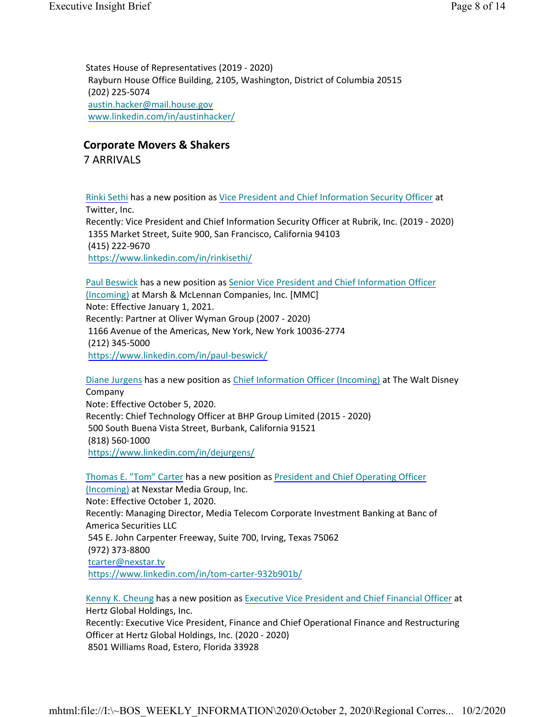States House of Representatives (2019 - 2020) Rayburn House Office Building, 2105, Washington, District of Columbia 20515 (202) 225-5074 austin.hacker@mail.house.gov www.linkedin.com/in/austinhacker/

### **Corporate Movers & Shakers**

7 ARRIVALS

Rinki Sethi has a new position as Vice President and Chief Information Security Officer at Twitter, Inc. Recently: Vice President and Chief Information Security Officer at Rubrik, Inc. (2019 - 2020) 1355 Market Street, Suite 900, San Francisco, California 94103 (415) 222-9670 https://www.linkedin.com/in/rinkisethi/

Paul Beswick has a new position as Senior Vice President and Chief Information Officer (Incoming) at Marsh & McLennan Companies, Inc. [MMC] Note: Effective January 1, 2021. Recently: Partner at Oliver Wyman Group (2007 - 2020) 1166 Avenue of the Americas, New York, New York 10036-2774 (212) 345-5000 https://www.linkedin.com/in/paul-beswick/

Diane Jurgens has a new position as Chief Information Officer (Incoming) at The Walt Disney Company Note: Effective October 5, 2020. Recently: Chief Technology Officer at BHP Group Limited (2015 - 2020) 500 South Buena Vista Street, Burbank, California 91521 (818) 560-1000 https://www.linkedin.com/in/dejurgens/

Thomas E. "Tom" Carter has a new position as President and Chief Operating Officer (Incoming) at Nexstar Media Group, Inc. Note: Effective October 1, 2020. Recently: Managing Director, Media Telecom Corporate Investment Banking at Banc of America Securities LLC 545 E. John Carpenter Freeway, Suite 700, Irving, Texas 75062 (972) 373-8800 tcarter@nexstar.tv https://www.linkedin.com/in/tom-carter-932b901b/

Kenny K. Cheung has a new position as Executive Vice President and Chief Financial Officer at Hertz Global Holdings, Inc. Recently: Executive Vice President, Finance and Chief Operational Finance and Restructuring Officer at Hertz Global Holdings, Inc. (2020 - 2020) 8501 Williams Road, Estero, Florida 33928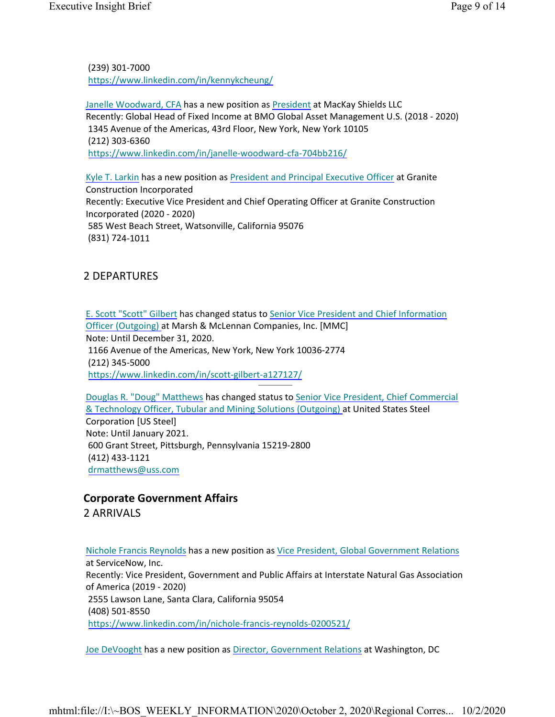(239) 301-7000 https://www.linkedin.com/in/kennykcheung/

Janelle Woodward, CFA has a new position as President at MacKay Shields LLC Recently: Global Head of Fixed Income at BMO Global Asset Management U.S. (2018 - 2020) 1345 Avenue of the Americas, 43rd Floor, New York, New York 10105 (212) 303-6360 https://www.linkedin.com/in/janelle-woodward-cfa-704bb216/

Kyle T. Larkin has a new position as President and Principal Executive Officer at Granite Construction Incorporated Recently: Executive Vice President and Chief Operating Officer at Granite Construction Incorporated (2020 - 2020) 585 West Beach Street, Watsonville, California 95076 (831) 724-1011

### 2 DEPARTURES

E. Scott "Scott" Gilbert has changed status to Senior Vice President and Chief Information Officer (Outgoing) at Marsh & McLennan Companies, Inc. [MMC] Note: Until December 31, 2020. 1166 Avenue of the Americas, New York, New York 10036-2774 (212) 345-5000 https://www.linkedin.com/in/scott-gilbert-a127127/

Douglas R. "Doug" Matthews has changed status to Senior Vice President, Chief Commercial & Technology Officer, Tubular and Mining Solutions (Outgoing) at United States Steel Corporation [US Steel] Note: Until January 2021. 600 Grant Street, Pittsburgh, Pennsylvania 15219-2800 (412) 433-1121 drmatthews@uss.com

### **Corporate Government Affairs** 2 ARRIVALS

Nichole Francis Reynolds has a new position as Vice President, Global Government Relations at ServiceNow, Inc. Recently: Vice President, Government and Public Affairs at Interstate Natural Gas Association of America (2019 - 2020) 2555 Lawson Lane, Santa Clara, California 95054 (408) 501-8550 https://www.linkedin.com/in/nichole-francis-reynolds-0200521/

Joe DeVooght has a new position as Director, Government Relations at Washington, DC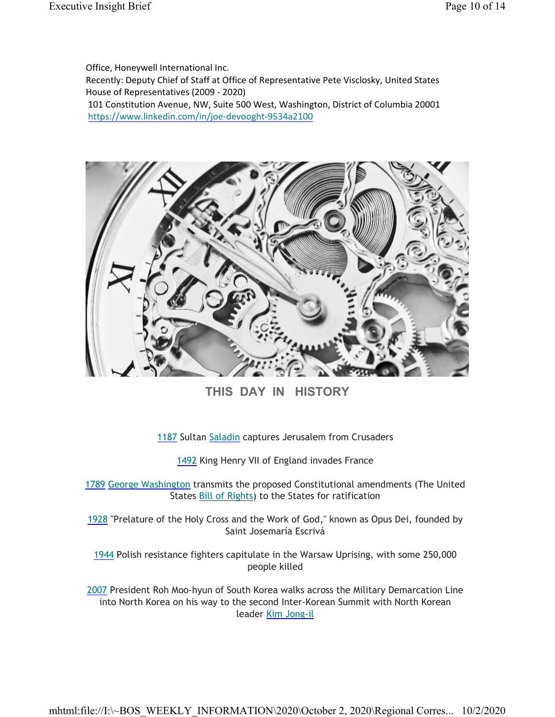Office, Honeywell International Inc. Recently: Deputy Chief of Staff at Office of Representative Pete Visclosky, United States House of Representatives (2009 - 2020) 101 Constitution Avenue, NW, Suite 500 West, Washington, District of Columbia 20001 https://www.linkedin.com/in/joe-devooght-9534a2100



**THIS DAY IN HISTORY**

1187 Sultan Saladin captures Jerusalem from Crusaders

1492 King Henry VII of England invades France

1789 George Washington transmits the proposed Constitutional amendments (The United States Bill of Rights) to the States for ratification

1928 "Prelature of the Holy Cross and the Work of God," known as Opus Dei, founded by Saint Josemaría Escrivá

1944 Polish resistance fighters capitulate in the Warsaw Uprising, with some 250,000 people killed

2007 President Roh Moo-hyun of South Korea walks across the Military Demarcation Line into North Korea on his way to the second Inter-Korean Summit with North Korean leader Kim Jong-il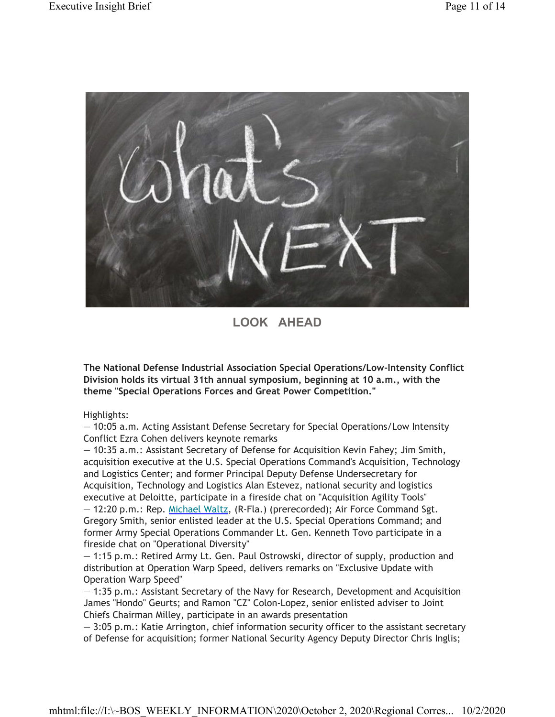

**LOOK AHEAD**

**The National Defense Industrial Association Special Operations/Low-Intensity Conflict Division holds its virtual 31th annual symposium, beginning at 10 a.m., with the theme "Special Operations Forces and Great Power Competition."**

Highlights:

— 10:05 a.m. Acting Assistant Defense Secretary for Special Operations/Low Intensity Conflict Ezra Cohen delivers keynote remarks

— 10:35 a.m.: Assistant Secretary of Defense for Acquisition Kevin Fahey; Jim Smith, acquisition executive at the U.S. Special Operations Command's Acquisition, Technology and Logistics Center; and former Principal Deputy Defense Undersecretary for Acquisition, Technology and Logistics Alan Estevez, national security and logistics executive at Deloitte, participate in a fireside chat on "Acquisition Agility Tools" — 12:20 p.m.: Rep. Michael Waltz, (R-Fla.) (prerecorded); Air Force Command Sgt. Gregory Smith, senior enlisted leader at the U.S. Special Operations Command; and former Army Special Operations Commander Lt. Gen. Kenneth Tovo participate in a fireside chat on "Operational Diversity"

— 1:15 p.m.: Retired Army Lt. Gen. Paul Ostrowski, director of supply, production and distribution at Operation Warp Speed, delivers remarks on "Exclusive Update with Operation Warp Speed"

— 1:35 p.m.: Assistant Secretary of the Navy for Research, Development and Acquisition James "Hondo" Geurts; and Ramon "CZ" Colon-Lopez, senior enlisted adviser to Joint Chiefs Chairman Milley, participate in an awards presentation

— 3:05 p.m.: Katie Arrington, chief information security officer to the assistant secretary of Defense for acquisition; former National Security Agency Deputy Director Chris Inglis;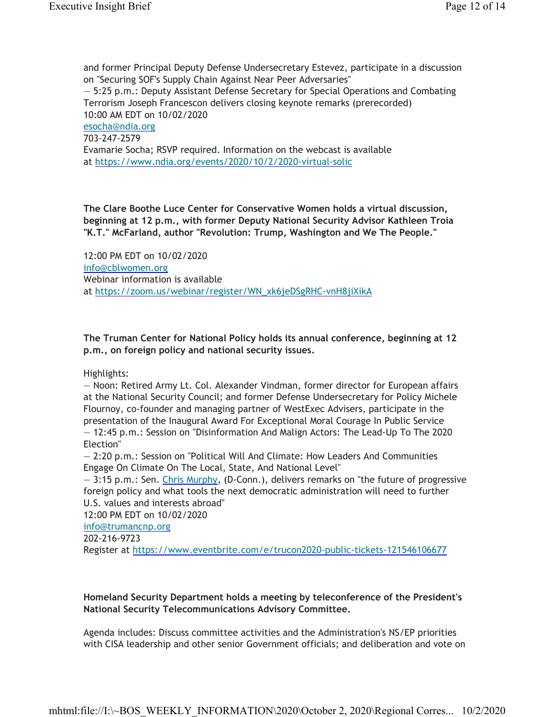and former Principal Deputy Defense Undersecretary Estevez, participate in a discussion on "Securing SOF's Supply Chain Against Near Peer Adversaries" — 5:25 p.m.: Deputy Assistant Defense Secretary for Special Operations and Combating Terrorism Joseph Francescon delivers closing keynote remarks (prerecorded) 10:00 AM EDT on 10/02/2020 esocha@ndia.org 703-247-2579 Evamarie Socha; RSVP required. Information on the webcast is available at https://www.ndia.org/events/2020/10/2/2020-virtual-solic

**The Clare Boothe Luce Center for Conservative Women holds a virtual discussion, beginning at 12 p.m., with former Deputy National Security Advisor Kathleen Troia "K.T." McFarland, author "Revolution: Trump, Washington and We The People."**

12:00 PM EDT on 10/02/2020 info@cblwomen.org Webinar information is available at https://zoom.us/webinar/register/WN\_xk6jeDSgRHC-vnH8jiXikA

**The Truman Center for National Policy holds its annual conference, beginning at 12 p.m., on foreign policy and national security issues.**

Highlights:

— Noon: Retired Army Lt. Col. Alexander Vindman, former director for European affairs at the National Security Council; and former Defense Undersecretary for Policy Michele Flournoy, co-founder and managing partner of WestExec Advisers, participate in the presentation of the Inaugural Award For Exceptional Moral Courage In Public Service — 12:45 p.m.: Session on "Disinformation And Malign Actors: The Lead-Up To The 2020 Election"

— 2:20 p.m.: Session on "Political Will And Climate: How Leaders And Communities Engage On Climate On The Local, State, And National Level"

— 3:15 p.m.: Sen. Chris Murphy, (D-Conn.), delivers remarks on "the future of progressive foreign policy and what tools the next democratic administration will need to further U.S. values and interests abroad"

12:00 PM EDT on 10/02/2020

info@trumancnp.org

202-216-9723

Register at https://www.eventbrite.com/e/trucon2020-public-tickets-121546106677

**Homeland Security Department holds a meeting by teleconference of the President's National Security Telecommunications Advisory Committee.**

Agenda includes: Discuss committee activities and the Administration's NS/EP priorities with CISA leadership and other senior Government officials; and deliberation and vote on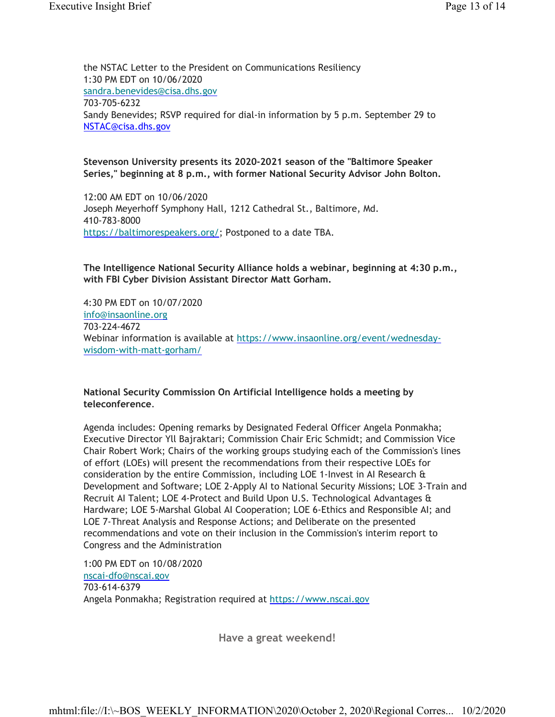the NSTAC Letter to the President on Communications Resiliency 1:30 PM EDT on 10/06/2020 sandra.benevides@cisa.dhs.gov 703-705-6232 Sandy Benevides; RSVP required for dial-in information by 5 p.m. September 29 to NSTAC@cisa.dhs.gov

#### **Stevenson University presents its 2020-2021 season of the "Baltimore Speaker Series," beginning at 8 p.m., with former National Security Advisor John Bolton.**

12:00 AM EDT on 10/06/2020 Joseph Meyerhoff Symphony Hall, 1212 Cathedral St., Baltimore, Md. 410-783-8000 https://baltimorespeakers.org/; Postponed to a date TBA.

**The Intelligence National Security Alliance holds a webinar, beginning at 4:30 p.m., with FBI Cyber Division Assistant Director Matt Gorham.**

4:30 PM EDT on 10/07/2020 info@insaonline.org 703-224-4672 Webinar information is available at https://www.insaonline.org/event/wednesdaywisdom-with-matt-gorham/

#### **National Security Commission On Artificial Intelligence holds a meeting by teleconference**.

Agenda includes: Opening remarks by Designated Federal Officer Angela Ponmakha; Executive Director Yll Bajraktari; Commission Chair Eric Schmidt; and Commission Vice Chair Robert Work; Chairs of the working groups studying each of the Commission's lines of effort (LOEs) will present the recommendations from their respective LOEs for consideration by the entire Commission, including LOE 1-Invest in AI Research & Development and Software; LOE 2-Apply AI to National Security Missions; LOE 3-Train and Recruit AI Talent; LOE 4-Protect and Build Upon U.S. Technological Advantages & Hardware; LOE 5-Marshal Global AI Cooperation; LOE 6-Ethics and Responsible AI; and LOE 7-Threat Analysis and Response Actions; and Deliberate on the presented recommendations and vote on their inclusion in the Commission's interim report to Congress and the Administration

1:00 PM EDT on 10/08/2020 nscai-dfo@nscai.gov 703-614-6379 Angela Ponmakha; Registration required at https://www.nscai.gov

**Have a great weekend!**